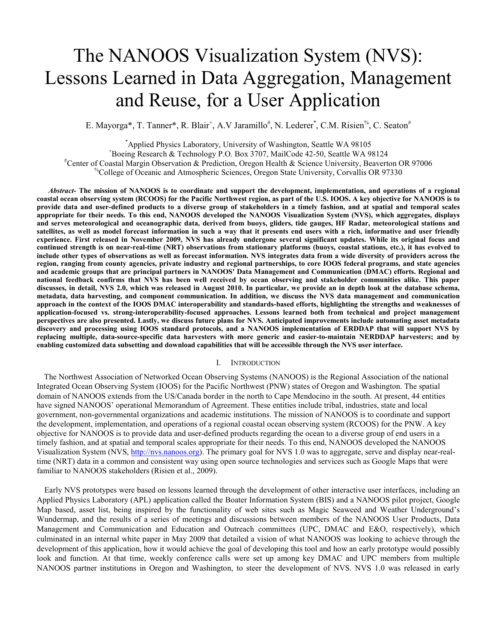# The NANOOS Visualization System (NVS): Lessons Learned in Data Aggregation, Management and Reuse, for a User Application

E. Mayorga\*, T. Tanner\*, R. Blair<sup>+</sup>, A.V Jaramillo<sup>#</sup>, N. Lederer<sup>\*</sup>, C.M. Risien<sup>%</sup>, C. Seaton<sup>#</sup>

\*Applied Physics Laboratory, University of Washington, Seattle WA 98105<br><sup>+</sup>Posing Pesearch & Technology P.O. Boy 3707, MailCode 42, 50, Seattle WA 03

Boeing Research & Technology P.O. Box 3707, MailCode 42-50, Seattle WA 98124 #

Center of Coastal Margin Observation & Prediction, Oregon Health & Science University, Beaverton OR 97006

%College of Oceanic and Atmospheric Sciences, Oregon State University, Corvallis OR 97330

*Abstract-* **The mission of NANOOS is to coordinate and support the development, implementation, and operations of a regional coastal ocean observing system (RCOOS) for the Pacific Northwest region, as part of the U.S. IOOS. A key objective for NANOOS is to provide data and user-defined products to a diverse group of stakeholders in a timely fashion, and at spatial and temporal scales appropriate for their needs. To this end, NANOOS developed the NANOOS Visualization System (NVS), which aggregates, displays and serves meteorological and oceanographic data, derived from buoys, gliders, tide gauges, HF Radar, meteorological stations and satellites, as well as model forecast information in such a way that it presents end users with a rich, informative and user friendly experience. First released in November 2009, NVS has already undergone several significant updates. While its original focus and continued strength is on near-real-time (NRT) observations from stationary platforms (buoys, coastal stations, etc.), it has evolved to include other types of observations as well as forecast information. NVS integrates data from a wide diversity of providers across the region, ranging from county agencies, private industry and regional partnerships, to core IOOS federal programs, and state agencies and academic groups that are principal partners in NANOOS' Data Management and Communication (DMAC) efforts. Regional and national feedback confirms that NVS has been well received by ocean observing and stakeholder communities alike. This paper discusses, in detail, NVS 2.0, which was released in August 2010. In particular, we provide an in depth look at the database schema, metadata, data harvesting, and component communication. In addition, we discuss the NVS data management and communication approach in the context of the IOOS DMAC interoperability and standards-based efforts, highlighting the strengths and weaknesses of application-focused vs. strong-interoperability-focused approaches. Lessons learned both from technical and project management perspectives are also presented. Lastly, we discuss future plans for NVS. Anticipated improvements include automating asset metadata discovery and processing using IOOS standard protocols, and a NANOOS implementation of ERDDAP that will support NVS by replacing multiple, data-source-specific data harvesters with more generic and easier-to-maintain NERDDAP harvesters; and by enabling customized data subsetting and download capabilities that will be accessible through the NVS user interface.** 

## I. INTRODUCTION

The Northwest Association of Networked Ocean Observing Systems (NANOOS) is the Regional Association of the national Integrated Ocean Observing System (IOOS) for the Pacific Northwest (PNW) states of Oregon and Washington. The spatial domain of NANOOS extends from the US/Canada border in the north to Cape Mendocino in the south. At present, 44 entities have signed NANOOS' operational Memorandum of Agreement. These entities include tribal, industries, state and local government, non-governmental organizations and academic institutions. The mission of NANOOS is to coordinate and support the development, implementation, and operations of a regional coastal ocean observing system (RCOOS) for the PNW. A key objective for NANOOS is to provide data and user-defined products regarding the ocean to a diverse group of end users in a timely fashion, and at spatial and temporal scales appropriate for their needs. To this end, NANOOS developed the NANOOS Visualization System (NVS, http://nvs.nanoos.org). The primary goal for NVS 1.0 was to aggregate, serve and display near-realtime (NRT) data in a common and consistent way using open source technologies and services such as Google Maps that were familiar to NANOOS stakeholders (Risien et al., 2009).

Early NVS prototypes were based on lessons learned through the development of other interactive user interfaces, including an Applied Physics Laboratory (APL) application called the Boater Information System (BIS) and a NANOOS pilot project, Google Map based, asset list, being inspired by the functionality of web sites such as Magic Seaweed and Weather Underground's Wundermap, and the results of a series of meetings and discussions between members of the NANOOS User Products, Data Management and Communication and Education and Outreach committees (UPC, DMAC and E&O, respectively), which culminated in an internal white paper in May 2009 that detailed a vision of what NANOOS was looking to achieve through the development of this application, how it would achieve the goal of developing this tool and how an early prototype would possibly look and function. At that time, weekly conference calls were set up among key DMAC and UPC members from multiple NANOOS partner institutions in Oregon and Washington, to steer the development of NVS. NVS 1.0 was released in early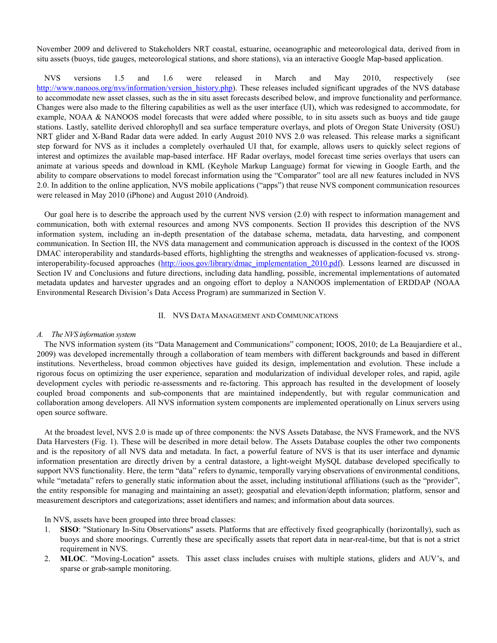November 2009 and delivered to Stakeholders NRT coastal, estuarine, oceanographic and meteorological data, derived from in situ assets (buoys, tide gauges, meteorological stations, and shore stations), via an interactive Google Map-based application.

NVS versions 1.5 and 1.6 were released in March and May 2010, respectively (see http://www.nanoos.org/nvs/information/version\_history.php). These releases included significant upgrades of the NVS database to accommodate new asset classes, such as the in situ asset forecasts described below, and improve functionality and performance. Changes were also made to the filtering capabilities as well as the user interface (UI), which was redesigned to accommodate, for example, NOAA & NANOOS model forecasts that were added where possible, to in situ assets such as buoys and tide gauge stations. Lastly, satellite derived chlorophyll and sea surface temperature overlays, and plots of Oregon State University (OSU) NRT glider and X-Band Radar data were added. In early August 2010 NVS 2.0 was released. This release marks a significant step forward for NVS as it includes a completely overhauled UI that, for example, allows users to quickly select regions of interest and optimizes the available map-based interface. HF Radar overlays, model forecast time series overlays that users can animate at various speeds and download in KML (Keyhole Markup Language) format for viewing in Google Earth, and the ability to compare observations to model forecast information using the "Comparator" tool are all new features included in NVS 2.0. In addition to the online application, NVS mobile applications ("apps") that reuse NVS component communication resources were released in May 2010 (iPhone) and August 2010 (Android).

Our goal here is to describe the approach used by the current NVS version (2.0) with respect to information management and communication, both with external resources and among NVS components. Section II provides this description of the NVS information system, including an in-depth presentation of the database schema, metadata, data harvesting, and component communication. In Section III, the NVS data management and communication approach is discussed in the context of the IOOS DMAC interoperability and standards-based efforts, highlighting the strengths and weaknesses of application-focused vs. stronginteroperability-focused approaches (http://ioos.gov/library/dmac\_implementation\_2010.pdf). Lessons learned are discussed in Section IV and Conclusions and future directions, including data handling, possible, incremental implementations of automated metadata updates and harvester upgrades and an ongoing effort to deploy a NANOOS implementation of ERDDAP (NOAA Environmental Research Division's Data Access Program) are summarized in Section V.

## II. NVS DATA MANAGEMENT AND COMMUNICATIONS

## *A. The NVS information system*

The NVS information system (its "Data Management and Communications" component; IOOS, 2010; de La Beaujardiere et al., 2009) was developed incrementally through a collaboration of team members with different backgrounds and based in different institutions. Nevertheless, broad common objectives have guided its design, implementation and evolution. These include a rigorous focus on optimizing the user experience, separation and modularization of individual developer roles, and rapid, agile development cycles with periodic re-assessments and re-factoring. This approach has resulted in the development of loosely coupled broad components and sub-components that are maintained independently, but with regular communication and collaboration among developers. All NVS information system components are implemented operationally on Linux servers using open source software.

At the broadest level, NVS 2.0 is made up of three components: the NVS Assets Database, the NVS Framework, and the NVS Data Harvesters (Fig. 1). These will be described in more detail below. The Assets Database couples the other two components and is the repository of all NVS data and metadata. In fact, a powerful feature of NVS is that its user interface and dynamic information presentation are directly driven by a central datastore, a light-weight MySQL database developed specifically to support NVS functionality. Here, the term "data" refers to dynamic, temporally varying observations of environmental conditions, while "metadata" refers to generally static information about the asset, including institutional affiliations (such as the "provider", the entity responsible for managing and maintaining an asset); geospatial and elevation/depth information; platform, sensor and measurement descriptors and categorizations; asset identifiers and names; and information about data sources.

In NVS, assets have been grouped into three broad classes:

- 1. **SISO**: "Stationary In-Situ Observations" assets. Platforms that are effectively fixed geographically (horizontally), such as buoys and shore moorings. Currently these are specifically assets that report data in near-real-time, but that is not a strict requirement in NVS.
- 2. **MLOC**. "Moving-Location" assets. This asset class includes cruises with multiple stations, gliders and AUV's, and sparse or grab-sample monitoring.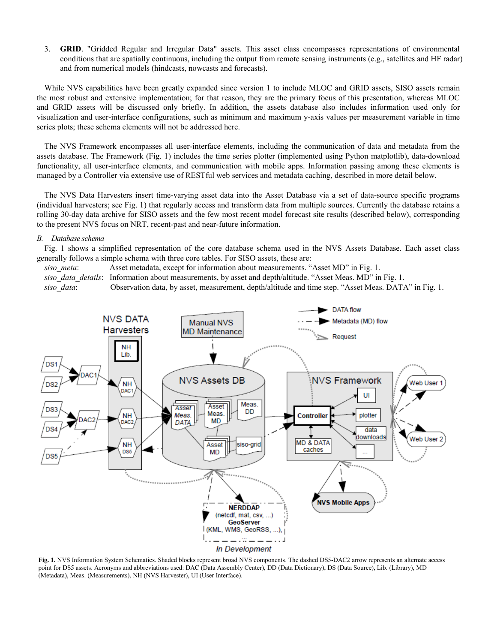3. **GRID**. "Gridded Regular and Irregular Data" assets. This asset class encompasses representations of environmental conditions that are spatially continuous, including the output from remote sensing instruments (e.g., satellites and HF radar) and from numerical models (hindcasts, nowcasts and forecasts).

While NVS capabilities have been greatly expanded since version 1 to include MLOC and GRID assets, SISO assets remain the most robust and extensive implementation; for that reason, they are the primary focus of this presentation, whereas MLOC and GRID assets will be discussed only briefly. In addition, the assets database also includes information used only for visualization and user-interface configurations, such as minimum and maximum y-axis values per measurement variable in time series plots; these schema elements will not be addressed here.

The NVS Framework encompasses all user-interface elements, including the communication of data and metadata from the assets database. The Framework (Fig. 1) includes the time series plotter (implemented using Python matplotlib), data-download functionality, all user-interface elements, and communication with mobile apps. Information passing among these elements is managed by a Controller via extensive use of RESTful web services and metadata caching, described in more detail below.

The NVS Data Harvesters insert time-varying asset data into the Asset Database via a set of data-source specific programs (individual harvesters; see Fig. 1) that regularly access and transform data from multiple sources. Currently the database retains a rolling 30-day data archive for SISO assets and the few most recent model forecast site results (described below), corresponding to the present NVS focus on NRT, recent-past and near-future information.

#### *B. Database schema*

Fig. 1 shows a simplified representation of the core database schema used in the NVS Assets Database. Each asset class generally follows a simple schema with three core tables. For SISO assets, these are:

*siso meta*: Asset metadata, except for information about measurements. "Asset MD" in Fig. 1. *siso\_data\_details*: Information about measurements, by asset and depth/altitude. "Asset Meas. MD" in Fig. 1. *siso\_data*: Observation data, by asset, measurement, depth/altitude and time step. "Asset Meas. DATA" in Fig. 1.



**Fig. 1.** NVS Information System Schematics. Shaded blocks represent broad NVS components. The dashed DS5-DAC2 arrow represents an alternate access point for DS5 assets. Acronyms and abbreviations used: DAC (Data Assembly Center), DD (Data Dictionary), DS (Data Source), Lib. (Library), MD (Metadata), Meas. (Measurements), NH (NVS Harvester), UI (User Interface).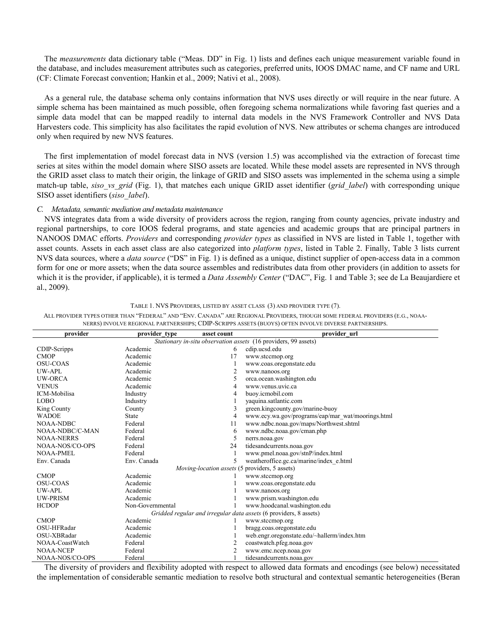The *measurements* data dictionary table ("Meas. DD" in Fig. 1) lists and defines each unique measurement variable found in the database, and includes measurement attributes such as categories, preferred units, IOOS DMAC name, and CF name and URL (CF: Climate Forecast convention; Hankin et al., 2009; Nativi et al., 2008).

As a general rule, the database schema only contains information that NVS uses directly or will require in the near future. A simple schema has been maintained as much possible, often foregoing schema normalizations while favoring fast queries and a simple data model that can be mapped readily to internal data models in the NVS Framework Controller and NVS Data Harvesters code. This simplicity has also facilitates the rapid evolution of NVS. New attributes or schema changes are introduced only when required by new NVS features.

The first implementation of model forecast data in NVS (version 1.5) was accomplished via the extraction of forecast time series at sites within the model domain where SISO assets are located. While these model assets are represented in NVS through the GRID asset class to match their origin, the linkage of GRID and SISO assets was implemented in the schema using a simple match-up table, *siso vs grid* (Fig. 1), that matches each unique GRID asset identifier (*grid label*) with corresponding unique SISO asset identifiers (*siso\_label*).

## *C. Metadata, semantic mediation and metadata maintenance*

NVS integrates data from a wide diversity of providers across the region, ranging from county agencies, private industry and regional partnerships, to core IOOS federal programs, and state agencies and academic groups that are principal partners in NANOOS DMAC efforts. *Providers* and corresponding *provider types* as classified in NVS are listed in Table 1, together with asset counts. Assets in each asset class are also categorized into *platform types*, listed in Table 2. Finally, Table 3 lists current NVS data sources, where a *data source* ("DS" in Fig. 1) is defined as a unique, distinct supplier of open-access data in a common form for one or more assets; when the data source assembles and redistributes data from other providers (in addition to assets for which it is the provider, if applicable), it is termed a *Data Assembly Center* ("DAC", Fig. 1 and Table 3; see de La Beaujardiere et al., 2009).

| provider                                                          | provider type    | asset count | provider url                                      |  |  |  |
|-------------------------------------------------------------------|------------------|-------------|---------------------------------------------------|--|--|--|
| Stationary in-situ observation assets (16 providers, 99 assets)   |                  |             |                                                   |  |  |  |
| CDIP-Scripps                                                      | Academic         | 6           | cdip.ucsd.edu                                     |  |  |  |
| <b>CMOP</b>                                                       | Academic         | 17          | www.stccmop.org                                   |  |  |  |
| <b>OSU-COAS</b>                                                   | Academic         |             | www.coas.oregonstate.edu                          |  |  |  |
| UW-APL                                                            | Academic         | 2           | www.nanoos.org                                    |  |  |  |
| <b>UW-ORCA</b>                                                    | Academic         | 5           | orca.ocean.washington.edu                         |  |  |  |
| <b>VENUS</b>                                                      | Academic         | 4           | www.venus.uvic.ca                                 |  |  |  |
| ICM-Mobilisa                                                      | Industry         |             | buoy.icmobil.com                                  |  |  |  |
| <b>LOBO</b>                                                       | Industry         |             | vaquina.satlantic.com                             |  |  |  |
| King County                                                       | County           |             | green.kingcounty.gov/marine-buoy                  |  |  |  |
| <b>WADOE</b>                                                      | State            | 4           | www.ecy.wa.gov/programs/eap/mar_wat/moorings.html |  |  |  |
| <b>NOAA-NDBC</b>                                                  | Federal          | 11          | www.ndbc.noaa.gov/maps/Northwest.shtml            |  |  |  |
| NOAA-NDBC/C-MAN                                                   | Federal          | 6           | www.ndbc.noaa.gov/cman.php                        |  |  |  |
| <b>NOAA-NERRS</b>                                                 | Federal          | 5           | nerrs.noaa.gov                                    |  |  |  |
| NOAA-NOS/CO-OPS                                                   | Federal          | 24          | tidesandcurrents.noaa.gov                         |  |  |  |
| <b>NOAA-PMEL</b>                                                  | Federal          |             | www.pmel.noaa.gov/stnP/index.html                 |  |  |  |
| Env. Canada                                                       | Env. Canada      | 5.          | weatheroffice.gc.ca/marine/index_e.html           |  |  |  |
|                                                                   |                  |             | Moving-location assets (5 providers, 5 assets)    |  |  |  |
| <b>CMOP</b>                                                       | Academic         |             | www.stccmop.org                                   |  |  |  |
| <b>OSU-COAS</b>                                                   | Academic         |             | www.coas.oregonstate.edu                          |  |  |  |
| UW-APL                                                            | Academic         |             | www.nanoos.org                                    |  |  |  |
| <b>UW-PRISM</b>                                                   | Academic         |             | www.prism.washington.edu                          |  |  |  |
| <b>HCDOP</b>                                                      | Non-Governmental |             | www.hoodcanal.washington.edu                      |  |  |  |
| Gridded regular and irregular data assets (6 providers, 8 assets) |                  |             |                                                   |  |  |  |
| <b>CMOP</b>                                                       | Academic         |             | www.stccmop.org                                   |  |  |  |
| OSU-HFRadar                                                       | Academic         |             | bragg.coas.oregonstate.edu                        |  |  |  |
| OSU-XBRadar                                                       | Academic         |             | web.engr.oregonstate.edu/~hallerm/index.htm       |  |  |  |
| NOAA-CoastWatch                                                   | Federal          |             | coastwatch.pfeg.noaa.gov                          |  |  |  |
| <b>NOAA-NCEP</b>                                                  | Federal          |             | www.emc.ncep.noaa.gov                             |  |  |  |
| NOAA-NOS/CO-OPS                                                   | Federal          |             | tidesandcurrents.noaa.gov                         |  |  |  |

TABLE 1. NVS PROVIDERS, LISTED BY ASSET CLASS (3) AND PROVIDER TYPE (7).

ALL PROVIDER TYPES OTHER THAN "FEDERAL" AND "ENV. CANADA" ARE REGIONAL PROVIDERS, THOUGH SOME FEDERAL PROVIDERS (E.G., NOAA-NERRS) INVOLVE REGIONAL PARTNERSHIPS; CDIP-SCRIPPS ASSETS (BUOYS) OFTEN INVOLVE DIVERSE PARTNERSHIPS.

The diversity of providers and flexibility adopted with respect to allowed data formats and encodings (see below) necessitated the implementation of considerable semantic mediation to resolve both structural and contextual semantic heterogeneities (Beran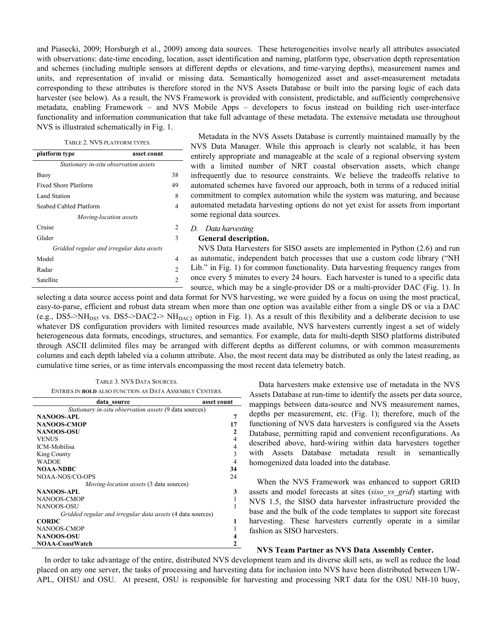and Piasecki, 2009; Horsburgh et al., 2009) among data sources. These heterogeneities involve nearly all attributes associated with observations: date-time encoding, location, asset identification and naming, platform type, observation depth representation and schemes (including multiple sensors at different depths or elevations, and time-varying depths), measurement names and units, and representation of invalid or missing data. Semantically homogenized asset and asset-measurement metadata corresponding to these attributes is therefore stored in the NVS Assets Database or built into the parsing logic of each data harvester (see below). As a result, the NVS Framework is provided with consistent, predictable, and sufficiently comprehensive metadata, enabling Framework – and NVS Mobile Apps – developers to focus instead on building rich user-interface functionality and information communication that take full advantage of these metadata. The extensive metadata use throughout NVS is illustrated schematically in Fig. 1.

| TABLE 2. NVS PLATFORM TYPES. |  |
|------------------------------|--|
|                              |  |

| platform type                             | asset count   |  |  |  |
|-------------------------------------------|---------------|--|--|--|
| Stationary in-situ observation assets     |               |  |  |  |
| Buoy                                      | 38            |  |  |  |
| <b>Fixed Shore Platform</b>               | 49            |  |  |  |
| Land Station                              |               |  |  |  |
| Seabed Cabled Platform                    |               |  |  |  |
| Moving-location assets                    |               |  |  |  |
| Cruise                                    | $\mathcal{L}$ |  |  |  |
| Glider                                    | 3             |  |  |  |
| Gridded regular and irregular data assets |               |  |  |  |
| Model                                     | 4             |  |  |  |
| Radar                                     | 2             |  |  |  |
| Satellite                                 | 2             |  |  |  |

Metadata in the NVS Assets Database is currently maintained manually by the NVS Data Manager. While this approach is clearly not scalable, it has been entirely appropriate and manageable at the scale of a regional observing system with a limited number of NRT coastal observation assets, which change infrequently due to resource constraints. We believe the tradeoffs relative to automated schemes have favored our approach, both in terms of a reduced initial commitment to complex automation while the system was maturing, and because automated metadata harvesting options do not yet exist for assets from important some regional data sources.

*D. Data harvesting* 

#### **General description.**

NVS Data Harvesters for SISO assets are implemented in Python (2.6) and run as automatic, independent batch processes that use a custom code library ("NH Lib." in Fig. 1) for common functionality. Data harvesting frequency ranges from once every 5 minutes to every 24 hours. Each harvester is tuned to a specific data source, which may be a single-provider DS or a multi-provider DAC (Fig. 1). In

selecting a data source access point and data format for NVS harvesting, we were guided by a focus on using the most practical, easy-to-parse, efficient and robust data stream when more than one option was available either from a single DS or via a DAC (e.g., DS5->NH<sub>DS5</sub> vs. DS5->DAC2-> NH<sub>DAC2</sub> option in Fig. 1). As a result of this flexibility and a deliberate decision to use whatever DS configuration providers with limited resources made available, NVS harvesters currently ingest a set of widely heterogeneous data formats, encodings, structures, and semantics. For example, data for multi-depth SISO platforms distributed through ASCII delimited files may be arranged with different depths as different columns, or with common measurements columns and each depth labeled via a column attribute. Also, the most recent data may be distributed as only the latest reading, as cumulative time series, or as time intervals encompassing the most recent data telemetry batch.

TABLE 3. NVS DATA SOURCES. ENTRIES IN **BOLD** ALSO FUNCTION AS DATA ASSEMBLY CENTERS.

| data source                                                | asset count    |
|------------------------------------------------------------|----------------|
| Stationary in-situ observation assets (9 data sources)     |                |
| NANOOS-APL                                                 | 7              |
| NANOOS-CMOP                                                | 17             |
| <b>NANOOS-OSU</b>                                          | $\mathbf{2}$   |
| <b>VENUS</b>                                               | 4              |
| <b>ICM-Mobilisa</b>                                        | 4              |
| King County                                                | 3              |
| <b>WADOE</b>                                               | $\overline{4}$ |
| NOAA-NDBC                                                  | 34             |
| NOAA-NOS/CO-OPS                                            | 24             |
| <i>Moving-location assets</i> (3 data sources)             |                |
| NANOOS-APL                                                 | 3              |
| NANOOS-CMOP                                                |                |
| NANOOS-OSU                                                 |                |
| Gridded regular and irregular data assets (4 data sources) |                |
| <b>CORDC</b>                                               | 1              |
| NANOOS-CMOP                                                |                |
| <b>NANOOS-OSU</b>                                          |                |
| <b>NOAA-CoastWatch</b>                                     | 2              |

 Data harvesters make extensive use of metadata in the NVS Assets Database at run-time to identify the assets per data source, mappings between data-source and NVS measurement names, depths per measurement, etc. (Fig. 1); therefore, much of the functioning of NVS data harvesters is configured via the Assets Database, permitting rapid and convenient reconfigurations. As described above, hard-wiring within data harvesters together with Assets Database metadata result in semantically homogenized data loaded into the database.

When the NVS Framework was enhanced to support GRID assets and model forecasts at sites (*siso\_vs\_grid*) starting with NVS 1.5, the SISO data harvester infrastructure provided the base and the bulk of the code templates to support site forecast harvesting. These harvesters currently operate in a similar fashion as SISO harvesters.

## **NVS Team Partner as NVS Data Assembly Center.**

In order to take advantage of the entire, distributed NVS development team and its diverse skill sets, as well as reduce the load placed on any one server, the tasks of processing and harvesting data for inclusion into NVS have been distributed between UW-APL, OHSU and OSU. At present, OSU is responsible for harvesting and processing NRT data for the OSU NH-10 buoy,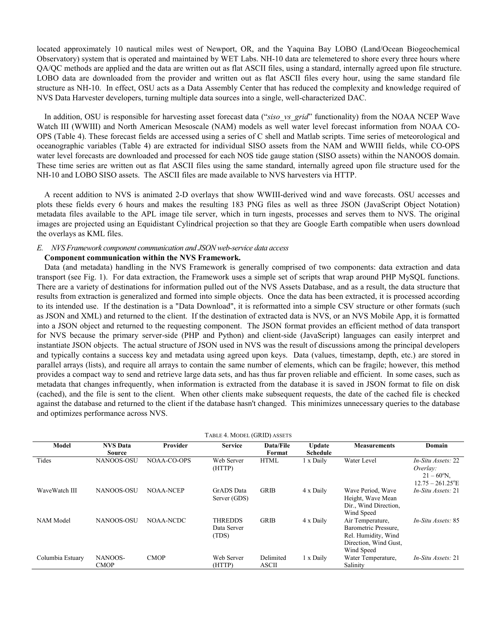located approximately 10 nautical miles west of Newport, OR, and the Yaquina Bay LOBO (Land/Ocean Biogeochemical Observatory) system that is operated and maintained by WET Labs. NH-10 data are telemetered to shore every three hours where QA/QC methods are applied and the data are written out as flat ASCII files, using a standard, internally agreed upon file structure. LOBO data are downloaded from the provider and written out as flat ASCII files every hour, using the same standard file structure as NH-10. In effect, OSU acts as a Data Assembly Center that has reduced the complexity and knowledge required of NVS Data Harvester developers, turning multiple data sources into a single, well-characterized DAC.

In addition, OSU is responsible for harvesting asset forecast data ("*siso\_vs\_grid*" functionality) from the NOAA NCEP Wave Watch III (WWIII) and North American Mesoscale (NAM) models as well water level forecast information from NOAA CO-OPS (Table 4). These forecast fields are accessed using a series of C shell and Matlab scripts. Time series of meteorological and oceanographic variables (Table 4) are extracted for individual SISO assets from the NAM and WWIII fields, while CO-OPS water level forecasts are downloaded and processed for each NOS tide gauge station (SISO assets) within the NANOOS domain. These time series are written out as flat ASCII files using the same standard, internally agreed upon file structure used for the NH-10 and LOBO SISO assets. The ASCII files are made available to NVS harvesters via HTTP.

A recent addition to NVS is animated 2-D overlays that show WWIII-derived wind and wave forecasts. OSU accesses and plots these fields every 6 hours and makes the resulting 183 PNG files as well as three JSON (JavaScript Object Notation) metadata files available to the APL image tile server, which in turn ingests, processes and serves them to NVS. The original images are projected using an Equidistant Cylindrical projection so that they are Google Earth compatible when users download the overlays as KML files.

## *E. NVS Framework component communication and JSON web-service data access*

## **Component communication within the NVS Framework.**

Data (and metadata) handling in the NVS Framework is generally comprised of two components: data extraction and data transport (see Fig. 1). For data extraction, the Framework uses a simple set of scripts that wrap around PHP MySQL functions. There are a variety of destinations for information pulled out of the NVS Assets Database, and as a result, the data structure that results from extraction is generalized and formed into simple objects. Once the data has been extracted, it is processed according to its intended use. If the destination is a "Data Download", it is reformatted into a simple CSV structure or other formats (such as JSON and XML) and returned to the client. If the destination of extracted data is NVS, or an NVS Mobile App, it is formatted into a JSON object and returned to the requesting component. The JSON format provides an efficient method of data transport for NVS because the primary server-side (PHP and Python) and client-side (JavaScript) languages can easily interpret and instantiate JSON objects. The actual structure of JSON used in NVS was the result of discussions among the principal developers and typically contains a success key and metadata using agreed upon keys. Data (values, timestamp, depth, etc.) are stored in parallel arrays (lists), and require all arrays to contain the same number of elements, which can be fragile; however, this method provides a compact way to send and retrieve large data sets, and has thus far proven reliable and efficient. In some cases, such as metadata that changes infrequently, when information is extracted from the database it is saved in JSON format to file on disk (cached), and the file is sent to the client. When other clients make subsequent requests, the date of the cached file is checked against the database and returned to the client if the database hasn't changed. This minimizes unnecessary queries to the database and optimizes performance across NVS.

| TABLE 4. MODEL (GRID) ASSETS |                           |             |                                        |                           |                                  |                                                                                                        |                                                                                           |  |
|------------------------------|---------------------------|-------------|----------------------------------------|---------------------------|----------------------------------|--------------------------------------------------------------------------------------------------------|-------------------------------------------------------------------------------------------|--|
| Model                        | <b>NVS</b> Data<br>Source | Provider    | <b>Service</b>                         | Data/File<br>Format       | <b>Update</b><br><b>Schedule</b> | <b>Measurements</b>                                                                                    | Domain                                                                                    |  |
| Tides                        | <b>NANOOS-OSU</b>         | NOAA-CO-OPS | Web Server<br>(HTTP)                   | <b>HTML</b>               | 1 x Daily                        | Water Level                                                                                            | In-Situ Assets: 22<br>Overlay:<br>$21 - 60^{\circ}$ N,<br>$12.75 - 261.25$ <sup>°</sup> E |  |
| WaveWatch III                | NANOOS-OSU                | NOAA-NCEP   | <b>GrADS</b> Data<br>Server (GDS)      | <b>GRIB</b>               | 4 x Daily                        | Wave Period, Wave<br>Height, Wave Mean<br>Dir., Wind Direction.<br>Wind Speed                          | In-Situ Assets: 21                                                                        |  |
| NAM Model                    | NANOOS-OSU                | NOAA-NCDC   | <b>THREDDS</b><br>Data Server<br>(TDS) | <b>GRIB</b>               | 4 x Daily                        | Air Temperature,<br>Barometric Pressure,<br>Rel. Humidity, Wind<br>Direction, Wind Gust,<br>Wind Speed | In-Situ Assets: 85                                                                        |  |
| Columbia Estuary             | NANOOS-<br><b>CMOP</b>    | <b>CMOP</b> | Web Server<br>(HTTP)                   | Delimited<br><b>ASCII</b> | 1 x Daily                        | Water Temperature.<br>Salinity                                                                         | In-Situ Assets: 21                                                                        |  |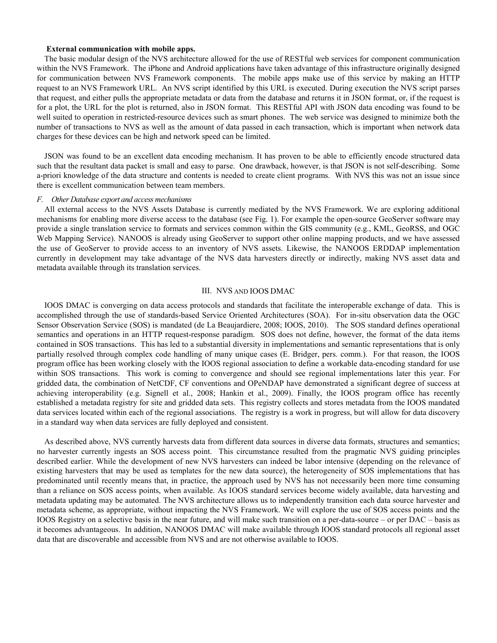## **External communication with mobile apps.**

The basic modular design of the NVS architecture allowed for the use of RESTful web services for component communication within the NVS Framework. The iPhone and Android applications have taken advantage of this infrastructure originally designed for communication between NVS Framework components. The mobile apps make use of this service by making an HTTP request to an NVS Framework URL. An NVS script identified by this URL is executed. During execution the NVS script parses that request, and either pulls the appropriate metadata or data from the database and returns it in JSON format, or, if the request is for a plot, the URL for the plot is returned, also in JSON format. This RESTful API with JSON data encoding was found to be well suited to operation in restricted-resource devices such as smart phones. The web service was designed to minimize both the number of transactions to NVS as well as the amount of data passed in each transaction, which is important when network data charges for these devices can be high and network speed can be limited.

JSON was found to be an excellent data encoding mechanism. It has proven to be able to efficiently encode structured data such that the resultant data packet is small and easy to parse. One drawback, however, is that JSON is not self-describing. Some a-priori knowledge of the data structure and contents is needed to create client programs. With NVS this was not an issue since there is excellent communication between team members.

## *F. Other Database export and access mechanisms*

All external access to the NVS Assets Database is currently mediated by the NVS Framework. We are exploring additional mechanisms for enabling more diverse access to the database (see Fig. 1). For example the open-source GeoServer software may provide a single translation service to formats and services common within the GIS community (e.g., KML, GeoRSS, and OGC Web Mapping Service). NANOOS is already using GeoServer to support other online mapping products, and we have assessed the use of GeoServer to provide access to an inventory of NVS assets. Likewise, the NANOOS ERDDAP implementation currently in development may take advantage of the NVS data harvesters directly or indirectly, making NVS asset data and metadata available through its translation services.

## III. NVS AND IOOS DMAC

IOOS DMAC is converging on data access protocols and standards that facilitate the interoperable exchange of data. This is accomplished through the use of standards-based Service Oriented Architectures (SOA). For in-situ observation data the OGC Sensor Observation Service (SOS) is mandated (de La Beaujardiere, 2008; IOOS, 2010). The SOS standard defines operational semantics and operations in an HTTP request-response paradigm. SOS does not define, however, the format of the data items contained in SOS transactions. This has led to a substantial diversity in implementations and semantic representations that is only partially resolved through complex code handling of many unique cases (E. Bridger, pers. comm.). For that reason, the IOOS program office has been working closely with the IOOS regional association to define a workable data-encoding standard for use within SOS transactions. This work is coming to convergence and should see regional implementations later this year. For gridded data, the combination of NetCDF, CF conventions and OPeNDAP have demonstrated a significant degree of success at achieving interoperability (e.g. Signell et al., 2008; Hankin et al., 2009). Finally, the IOOS program office has recently established a metadata registry for site and gridded data sets. This registry collects and stores metadata from the IOOS mandated data services located within each of the regional associations. The registry is a work in progress, but will allow for data discovery in a standard way when data services are fully deployed and consistent.

As described above, NVS currently harvests data from different data sources in diverse data formats, structures and semantics; no harvester currently ingests an SOS access point. This circumstance resulted from the pragmatic NVS guiding principles described earlier. While the development of new NVS harvesters can indeed be labor intensive (depending on the relevance of existing harvesters that may be used as templates for the new data source), the heterogeneity of SOS implementations that has predominated until recently means that, in practice, the approach used by NVS has not necessarily been more time consuming than a reliance on SOS access points, when available. As IOOS standard services become widely available, data harvesting and metadata updating may be automated. The NVS architecture allows us to independently transition each data source harvester and metadata scheme, as appropriate, without impacting the NVS Framework. We will explore the use of SOS access points and the IOOS Registry on a selective basis in the near future, and will make such transition on a per-data-source – or per DAC – basis as it becomes advantageous. In addition, NANOOS DMAC will make available through IOOS standard protocols all regional asset data that are discoverable and accessible from NVS and are not otherwise available to IOOS.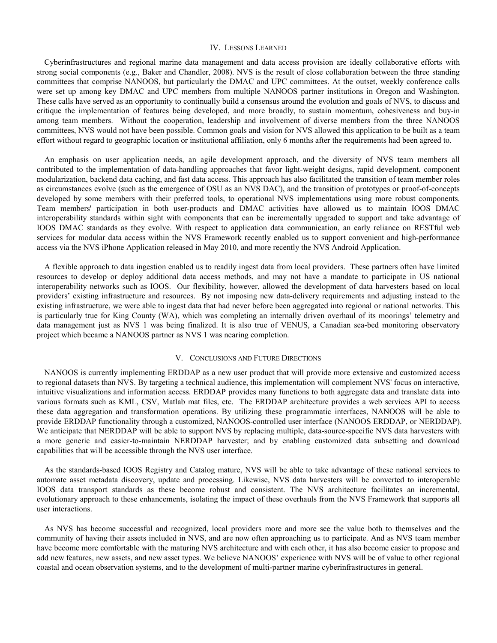#### IV. LESSONS LEARNED

Cyberinfrastructures and regional marine data management and data access provision are ideally collaborative efforts with strong social components (e.g., Baker and Chandler, 2008). NVS is the result of close collaboration between the three standing committees that comprise NANOOS, but particularly the DMAC and UPC committees. At the outset, weekly conference calls were set up among key DMAC and UPC members from multiple NANOOS partner institutions in Oregon and Washington. These calls have served as an opportunity to continually build a consensus around the evolution and goals of NVS, to discuss and critique the implementation of features being developed, and more broadly, to sustain momentum, cohesiveness and buy-in among team members. Without the cooperation, leadership and involvement of diverse members from the three NANOOS committees, NVS would not have been possible. Common goals and vision for NVS allowed this application to be built as a team effort without regard to geographic location or institutional affiliation, only 6 months after the requirements had been agreed to.

An emphasis on user application needs, an agile development approach, and the diversity of NVS team members all contributed to the implementation of data-handling approaches that favor light-weight designs, rapid development, component modularization, backend data caching, and fast data access. This approach has also facilitated the transition of team member roles as circumstances evolve (such as the emergence of OSU as an NVS DAC), and the transition of prototypes or proof-of-concepts developed by some members with their preferred tools, to operational NVS implementations using more robust components. Team members' participation in both user-products and DMAC activities have allowed us to maintain IOOS DMAC interoperability standards within sight with components that can be incrementally upgraded to support and take advantage of IOOS DMAC standards as they evolve. With respect to application data communication, an early reliance on RESTful web services for modular data access within the NVS Framework recently enabled us to support convenient and high-performance access via the NVS iPhone Application released in May 2010, and more recently the NVS Android Application.

A flexible approach to data ingestion enabled us to readily ingest data from local providers. These partners often have limited resources to develop or deploy additional data access methods, and may not have a mandate to participate in US national interoperability networks such as IOOS. Our flexibility, however, allowed the development of data harvesters based on local providers' existing infrastructure and resources. By not imposing new data-delivery requirements and adjusting instead to the existing infrastructure, we were able to ingest data that had never before been aggregated into regional or national networks. This is particularly true for King County (WA), which was completing an internally driven overhaul of its moorings' telemetry and data management just as NVS 1 was being finalized. It is also true of VENUS, a Canadian sea-bed monitoring observatory project which became a NANOOS partner as NVS 1 was nearing completion.

## V. CONCLUSIONS AND FUTURE DIRECTIONS

NANOOS is currently implementing ERDDAP as a new user product that will provide more extensive and customized access to regional datasets than NVS. By targeting a technical audience, this implementation will complement NVS' focus on interactive, intuitive visualizations and information access. ERDDAP provides many functions to both aggregate data and translate data into various formats such as KML, CSV, Matlab mat files, etc. The ERDDAP architecture provides a web services API to access these data aggregation and transformation operations. By utilizing these programmatic interfaces, NANOOS will be able to provide ERDDAP functionality through a customized, NANOOS-controlled user interface (NANOOS ERDDAP, or NERDDAP). We anticipate that NERDDAP will be able to support NVS by replacing multiple, data-source-specific NVS data harvesters with a more generic and easier-to-maintain NERDDAP harvester; and by enabling customized data subsetting and download capabilities that will be accessible through the NVS user interface.

As the standards-based IOOS Registry and Catalog mature, NVS will be able to take advantage of these national services to automate asset metadata discovery, update and processing. Likewise, NVS data harvesters will be converted to interoperable IOOS data transport standards as these become robust and consistent. The NVS architecture facilitates an incremental, evolutionary approach to these enhancements, isolating the impact of these overhauls from the NVS Framework that supports all user interactions.

As NVS has become successful and recognized, local providers more and more see the value both to themselves and the community of having their assets included in NVS, and are now often approaching us to participate. And as NVS team member have become more comfortable with the maturing NVS architecture and with each other, it has also become easier to propose and add new features, new assets, and new asset types. We believe NANOOS' experience with NVS will be of value to other regional coastal and ocean observation systems, and to the development of multi-partner marine cyberinfrastructures in general.